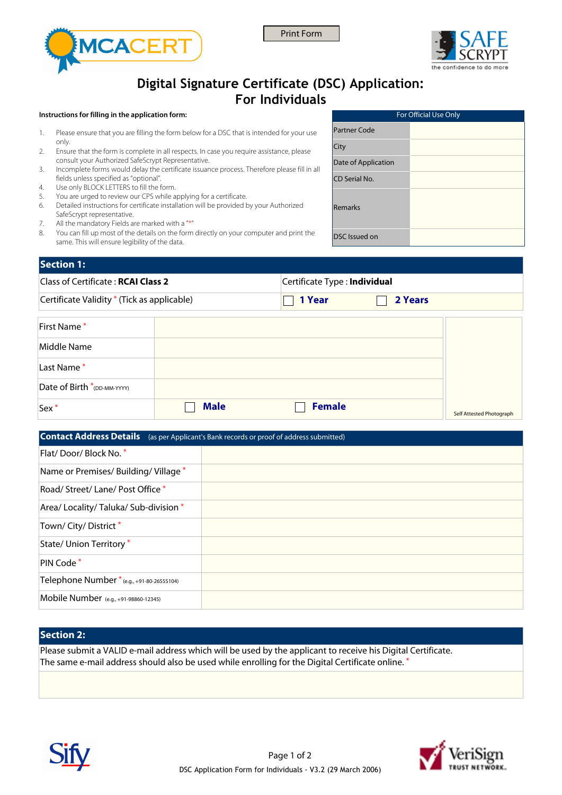





# **Digital Signature Certificate (DSC) Application: For Individuals**

#### **Instructions for filling in the application form:**

- 1. Please ensure that you are filling the form below for a DSC that is intended for your use only.
- 2. Ensure that the form is complete in all respects. In case you require assistance, please consult your Authorized SafeScrypt Representative.
- 3. Incomplete forms would delay the certificate issuance process. Therefore please fill in all fields unless specified as "optional".
- 4. Use only BLOCK LETTERS to fill the form.
- 5. You are urged to review our CPS while applying for a certificate.
- 6. Detailed instructions for certificate installation will be provided by your Authorized SafeScrypt representative.
- 7. All the mandatory Fields are marked with a "\*"
- 8. You can fill up most of the details on the form directly on your computer and print the same. This will ensure legibility of the data.

| For Official Use Only |  |
|-----------------------|--|
| Partner Code          |  |
| City                  |  |
| Date of Application   |  |
| CD Serial No.         |  |
| Remarks               |  |
| DSC Issued on         |  |

## **Section 1:**

| <b>Class of Certificate: RCAI Class 2</b>   |                       | Certificate Type: Individual |  |  |
|---------------------------------------------|-----------------------|------------------------------|--|--|
| Certificate Validity * (Tick as applicable) | $\blacksquare$ 1 Year | 2 Years                      |  |  |
| $\Gamma$ . $\Gamma$                         |                       |                              |  |  |

| Sex <sup>*</sup>            | <b>Male</b> | <b>Female</b> | Self Attested Photograph |
|-----------------------------|-------------|---------------|--------------------------|
| Date of Birth *(DD-MM-YYYY) |             |               |                          |
| Last Name*                  |             |               |                          |
| Middle Name                 |             |               |                          |
| First Name*                 |             |               |                          |

| <b>Contact Address Details</b> (as per Applicant's Bank records or proof of address submitted) |  |
|------------------------------------------------------------------------------------------------|--|
| Flat/Door/Block No. *                                                                          |  |
| Name or Premises/Building/Village*                                                             |  |
| Road/Street/Lane/Post Office *                                                                 |  |
| Area/ Locality/ Taluka/ Sub-division *                                                         |  |
| Town/ City/ District *                                                                         |  |
| State/ Union Territory *                                                                       |  |
| PIN Code *                                                                                     |  |
| Telephone Number *(e.g., +91-80-26555104)                                                      |  |
| Mobile Number (e.g., +91-98860-12345)                                                          |  |

## **Section 2:**

Please submit a VALID e-mail address which will be used by the applicant to receive his Digital Certificate. The same e-mail address should also be used while enrolling for the Digital Certificate online. \*